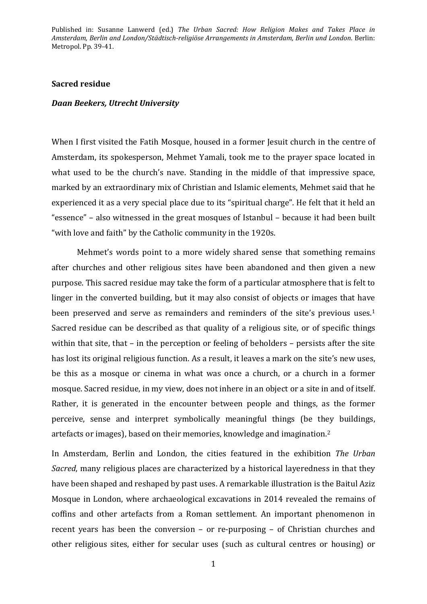## **Sacred residue**

## *Daan Beekers, Utrecht University*

When I first visited the Fatih Mosque, housed in a former Jesuit church in the centre of Amsterdam, its spokesperson, Mehmet Yamali, took me to the prayer space located in what used to be the church's nave. Standing in the middle of that impressive space, marked by an extraordinary mix of Christian and Islamic elements, Mehmet said that he experienced it as a very special place due to its "spiritual charge". He felt that it held an "essence" – also witnessed in the great mosques of Istanbul – because it had been built "with love and faith" by the Catholic community in the 1920s.

Mehmet's words point to a more widely shared sense that something remains after churches and other religious sites have been abandoned and then given a new purpose. This sacred residue may take the form of a particular atmosphere that is felt to linger in the converted building, but it may also consist of objects or images that have been preserved and serve as remainders and reminders of the site's previous uses.<sup>1</sup> Sacred residue can be described as that quality of a religious site, or of specific things within that site, that – in the perception or feeling of beholders – persists after the site has lost its original religious function. As a result, it leaves a mark on the site's new uses, be this as a mosque or cinema in what was once a church, or a church in a former mosque. Sacred residue, in my view, does not inhere in an object or a site in and of itself. Rather, it is generated in the encounter between people and things, as the former perceive, sense and interpret symbolically meaningful things (be they buildings, artefacts or images), based on their memories, knowledge and imagination.<sup>2</sup>

In Amsterdam, Berlin and London, the cities featured in the exhibition *The Urban Sacred*, many religious places are characterized by a historical layeredness in that they have been shaped and reshaped by past uses. A remarkable illustration is the Baitul Aziz Mosque in London, where archaeological excavations in 2014 revealed the remains of coffins and other artefacts from a Roman settlement. An important phenomenon in recent years has been the conversion – or re-purposing – of Christian churches and other religious sites, either for secular uses (such as cultural centres or housing) or

1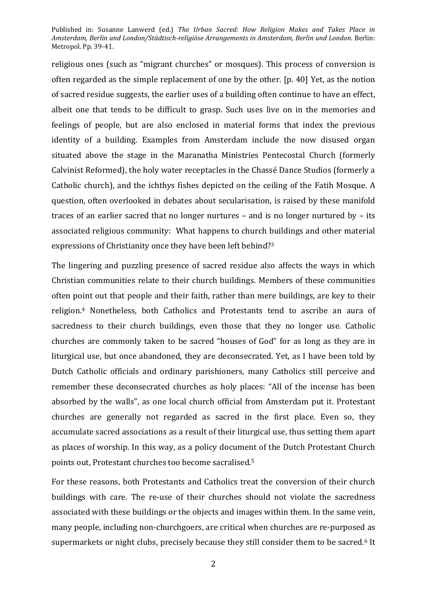religious ones (such as "migrant churches" or mosques). This process of conversion is often regarded as the simple replacement of one by the other. [p. 40] Yet, as the notion of sacred residue suggests, the earlier uses of a building often continue to have an effect, albeit one that tends to be difficult to grasp. Such uses live on in the memories and feelings of people, but are also enclosed in material forms that index the previous identity of a building. Examples from Amsterdam include the now disused organ situated above the stage in the Maranatha Ministries Pentecostal Church (formerly Calvinist Reformed), the holy water receptacles in the Chassé Dance Studios (formerly a Catholic church), and the ichthys fishes depicted on the ceiling of the Fatih Mosque. A question, often overlooked in debates about secularisation, is raised by these manifold traces of an earlier sacred that no longer nurtures – and is no longer nurtured by – its associated religious community: What happens to church buildings and other material expressions of Christianity once they have been left behind? 3

The lingering and puzzling presence of sacred residue also affects the ways in which Christian communities relate to their church buildings. Members of these communities often point out that people and their faith, rather than mere buildings, are key to their religion. <sup>4</sup> Nonetheless, both Catholics and Protestants tend to ascribe an aura of sacredness to their church buildings, even those that they no longer use. Catholic churches are commonly taken to be sacred "houses of God" for as long as they are in liturgical use, but once abandoned, they are deconsecrated. Yet, as I have been told by Dutch Catholic officials and ordinary parishioners, many Catholics still perceive and remember these deconsecrated churches as holy places: "All of the incense has been absorbed by the walls", as one local church official from Amsterdam put it. Protestant churches are generally not regarded as sacred in the first place. Even so, they accumulate sacred associations as a result of their liturgical use, thus setting them apart as places of worship. In this way, as a policy document of the Dutch Protestant Church points out, Protestant churches too become sacralised.<sup>5</sup>

For these reasons, both Protestants and Catholics treat the conversion of their church buildings with care. The re-use of their churches should not violate the sacredness associated with these buildings or the objects and images within them. In the same vein, many people, including non-churchgoers, are critical when churches are re-purposed as supermarkets or night clubs, precisely because they still consider them to be sacred.<sup>6</sup> It

2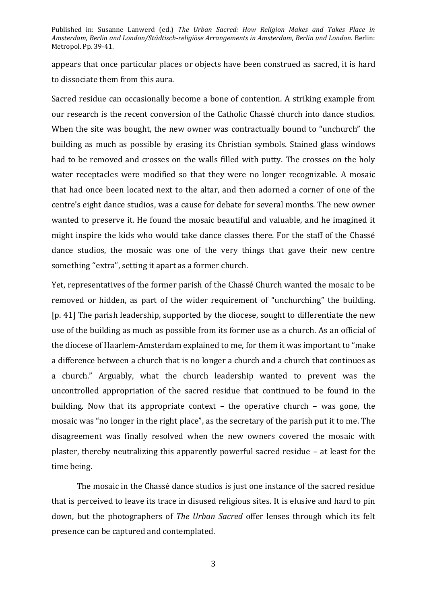appears that once particular places or objects have been construed as sacred, it is hard to dissociate them from this aura.

Sacred residue can occasionally become a bone of contention. A striking example from our research is the recent conversion of the Catholic Chassé church into dance studios. When the site was bought, the new owner was contractually bound to "unchurch" the building as much as possible by erasing its Christian symbols. Stained glass windows had to be removed and crosses on the walls filled with putty. The crosses on the holy water receptacles were modified so that they were no longer recognizable. A mosaic that had once been located next to the altar, and then adorned a corner of one of the centre's eight dance studios, was a cause for debate for several months. The new owner wanted to preserve it. He found the mosaic beautiful and valuable, and he imagined it might inspire the kids who would take dance classes there. For the staff of the Chassé dance studios, the mosaic was one of the very things that gave their new centre something "extra", setting it apart as a former church.

Yet, representatives of the former parish of the Chassé Church wanted the mosaic to be removed or hidden, as part of the wider requirement of "unchurching" the building. [p. 41] The parish leadership, supported by the diocese, sought to differentiate the new use of the building as much as possible from its former use as a church. As an official of the diocese of Haarlem-Amsterdam explained to me, for them it was important to "make a difference between a church that is no longer a church and a church that continues as a church." Arguably, what the church leadership wanted to prevent was the uncontrolled appropriation of the sacred residue that continued to be found in the building. Now that its appropriate context – the operative church – was gone, the mosaic was "no longer in the right place", as the secretary of the parish put it to me. The disagreement was finally resolved when the new owners covered the mosaic with plaster, thereby neutralizing this apparently powerful sacred residue – at least for the time being.

The mosaic in the Chassé dance studios is just one instance of the sacred residue that is perceived to leave its trace in disused religious sites. It is elusive and hard to pin down, but the photographers of *The Urban Sacred* offer lenses through which its felt presence can be captured and contemplated.